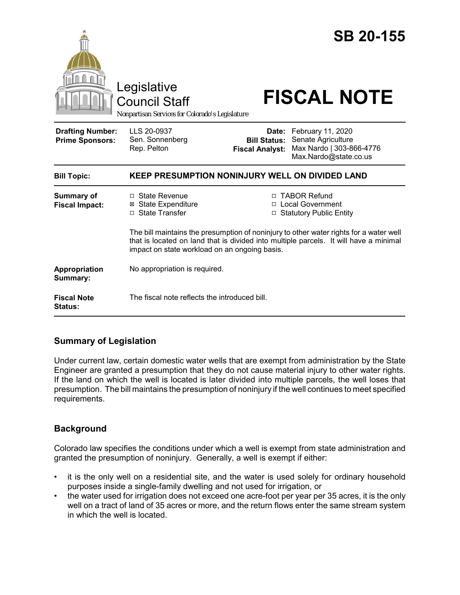

# **Summary of Legislation**

Under current law, certain domestic water wells that are exempt from administration by the State Engineer are granted a presumption that they do not cause material injury to other water rights. If the land on which the well is located is later divided into multiple parcels, the well loses that presumption. The bill maintains the presumption of noninjury if the well continues to meet specified requirements.

## **Background**

Colorado law specifies the conditions under which a well is exempt from state administration and granted the presumption of noninjury. Generally, a well is exempt if either:

- it is the only well on a residential site, and the water is used solely for ordinary household purposes inside a single-family dwelling and not used for irrigation, or
- the water used for irrigation does not exceed one acre-foot per year per 35 acres, it is the only well on a tract of land of 35 acres or more, and the return flows enter the same stream system in which the well is located.